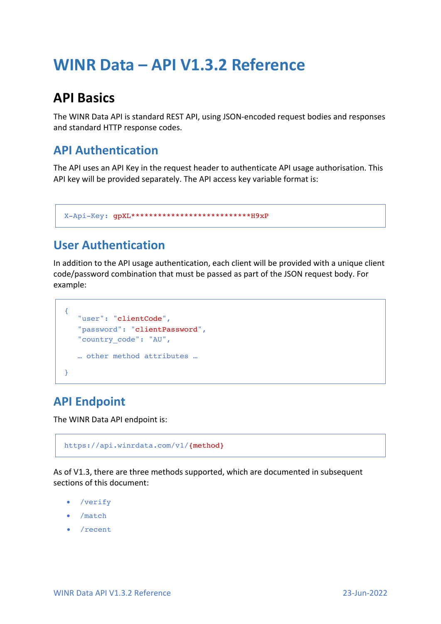# **WINR Data – API V1.3.2 Reference**

## **API Basics**

The WINR Data API is standard REST API, using JSON-encoded request bodies and responses and standard HTTP response codes.

### **API Authentication**

The API uses an API Key in the request header to authenticate API usage authorisation. This API key will be provided separately. The API access key variable format is:

```
X-Api-Key: gpXL***************************H9xP
```
### **User Authentication**

In addition to the API usage authentication, each client will be provided with a unique client code/password combination that must be passed as part of the JSON request body. For example:

```
{
   "user": "clientCode",
   "password": "clientPassword",
   "country_code": "AU",
   … other method attributes …
}
```
### **API Endpoint**

The WINR Data API endpoint is:

```
https://api.winrdata.com/v1/{method}
```
As of V1.3, there are three methods supported, which are documented in subsequent sections of this document:

- /verify
- /match
- /recent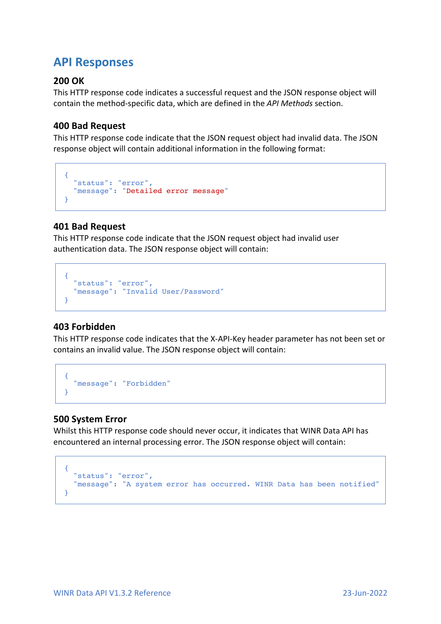### **API Responses**

#### **200 OK**

This HTTP response code indicates a successful request and the JSON response object will contain the method-specific data, which are defined in the *API Methods* section.

#### **400 Bad Request**

This HTTP response code indicate that the JSON request object had invalid data. The JSON response object will contain additional information in the following format:

```
{
 "status": "error",
 "message": "Detailed error message" 
}
```
#### **401 Bad Request**

This HTTP response code indicate that the JSON request object had invalid user authentication data. The JSON response object will contain:

```
{
  "status": "error",
   "message": "Invalid User/Password" 
}
```
#### **403 Forbidden**

This HTTP response code indicates that the X-API-Key header parameter has not been set or contains an invalid value. The JSON response object will contain:

```
{
   "message": "Forbidden" 
}
```
#### **500 System Error**

Whilst this HTTP response code should never occur, it indicates that WINR Data API has encountered an internal processing error. The JSON response object will contain:

```
{
  "status": "error",
 "message": "A system error has occurred. WINR Data has been notified" 
}
```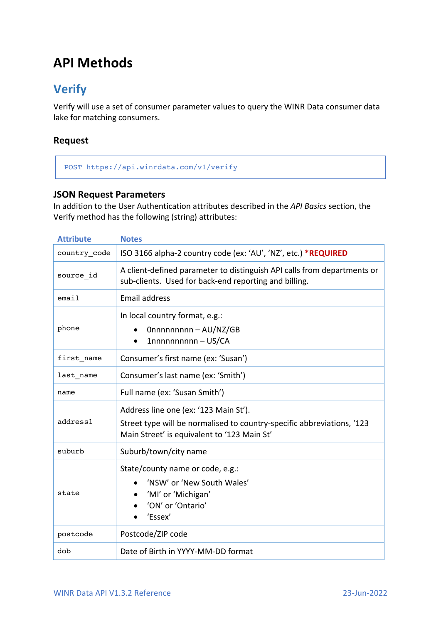## **API Methods**

### **Verify**

Verify will use a set of consumer parameter values to query the WINR Data consumer data lake for matching consumers.

#### **Request**

#### POST https://api.winrdata.com/v1/verify

#### **JSON Request Parameters**

In addition to the User Authentication attributes described in the *API Basics* section, the Verify method has the following (string) attributes:

| <b>Attribute</b> | <b>Notes</b>                                                                                                                                                   |  |  |
|------------------|----------------------------------------------------------------------------------------------------------------------------------------------------------------|--|--|
| country_code     | ISO 3166 alpha-2 country code (ex: 'AU', 'NZ', etc.) *REQUIRED                                                                                                 |  |  |
| source id        | A client-defined parameter to distinguish API calls from departments or<br>sub-clients. Used for back-end reporting and billing.                               |  |  |
| email            | <b>Email address</b>                                                                                                                                           |  |  |
| phone            | In local country format, e.g.:<br>0nnnnnnnnn - AU/NZ/GB<br>1nnnnnnnnnn - US/CA<br>$\bullet$                                                                    |  |  |
| first name       | Consumer's first name (ex: 'Susan')                                                                                                                            |  |  |
| last_name        | Consumer's last name (ex: 'Smith')                                                                                                                             |  |  |
| name             | Full name (ex: 'Susan Smith')                                                                                                                                  |  |  |
| address1         | Address line one (ex: '123 Main St').<br>Street type will be normalised to country-specific abbreviations, '123<br>Main Street' is equivalent to '123 Main St' |  |  |
| suburb           | Suburb/town/city name                                                                                                                                          |  |  |
| state            | State/county name or code, e.g.:<br>'NSW' or 'New South Wales'<br>'MI' or 'Michigan'<br>'ON' or 'Ontario'<br>'Essex'                                           |  |  |
| postcode         | Postcode/ZIP code                                                                                                                                              |  |  |
| dob              | Date of Birth in YYYY-MM-DD format                                                                                                                             |  |  |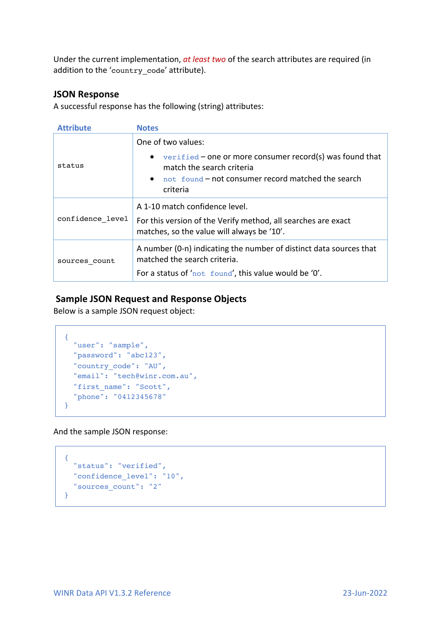Under the current implementation, *at least two* of the search attributes are required (in addition to the 'country code' attribute).

#### **JSON Response**

A successful response has the following (string) attributes:

| <b>Attribute</b> | <b>Notes</b>                                                                                                |
|------------------|-------------------------------------------------------------------------------------------------------------|
|                  | One of two values:                                                                                          |
| status           | $vertical - one$ or more consumer record(s) was found that<br>$\bullet$<br>match the search criteria        |
|                  | not found - not consumer record matched the search<br>criteria                                              |
|                  |                                                                                                             |
|                  | A 1-10 match confidence level.                                                                              |
| confidence level | For this version of the Verify method, all searches are exact<br>matches, so the value will always be '10'. |
| sources count    | A number (0-n) indicating the number of distinct data sources that<br>matched the search criteria.          |
|                  | For a status of 'not found', this value would be '0'.                                                       |

#### **Sample JSON Request and Response Objects**

Below is a sample JSON request object:

```
{
 "user": "sample",
   "password": "abc123",
    "country_code": "AU",
   "email": "tech@winr.com.au",
    "first_name": "Scott",
    "phone": "0412345678" 
}
```
And the sample JSON response:

```
{
  "status": "verified",
  "confidence_level": "10",
   "sources_count": "2" 
}
```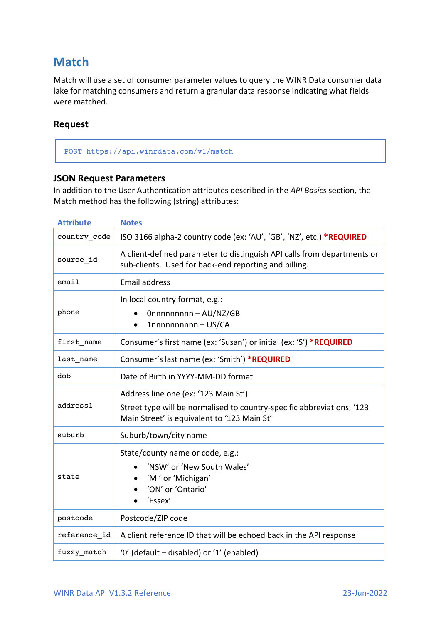### **Match**

Match will use a set of consumer parameter values to query the WINR Data consumer data lake for matching consumers and return a granular data response indicating what fields were matched.

#### **Request**

POST https://api.winrdata.com/v1/match

#### **JSON Request Parameters**

In addition to the User Authentication attributes described in the *API Basics* section, the Match method has the following (string) attributes:

| <b>Attribute</b> | <b>Notes</b>                                                                                                                                                   |  |
|------------------|----------------------------------------------------------------------------------------------------------------------------------------------------------------|--|
| country code     | ISO 3166 alpha-2 country code (ex: 'AU', 'GB', 'NZ', etc.) *REQUIRED                                                                                           |  |
| source id        | A client-defined parameter to distinguish API calls from departments or<br>sub-clients. Used for back-end reporting and billing.                               |  |
| email            | <b>Email address</b>                                                                                                                                           |  |
| phone            | In local country format, e.g.:<br>Onnnnnnnnn - AU/NZ/GB<br>1nnnnnnnnnn - US/CA<br>$\bullet$                                                                    |  |
| first_name       | Consumer's first name (ex: 'Susan') or initial (ex: 'S') *REQUIRED                                                                                             |  |
| last_name        | Consumer's last name (ex: 'Smith') *REQUIRED                                                                                                                   |  |
| dob              | Date of Birth in YYYY-MM-DD format                                                                                                                             |  |
| address1         | Address line one (ex: '123 Main St').<br>Street type will be normalised to country-specific abbreviations, '123<br>Main Street' is equivalent to '123 Main St' |  |
| suburb           | Suburb/town/city name                                                                                                                                          |  |
| state            | State/county name or code, e.g.:<br>'NSW' or 'New South Wales'<br>'MI' or 'Michigan'<br>'ON' or 'Ontario'<br>'Essex'                                           |  |
| postcode         | Postcode/ZIP code                                                                                                                                              |  |
| reference_id     | A client reference ID that will be echoed back in the API response                                                                                             |  |
| fuzzy_match      | '0' (default – disabled) or '1' (enabled)                                                                                                                      |  |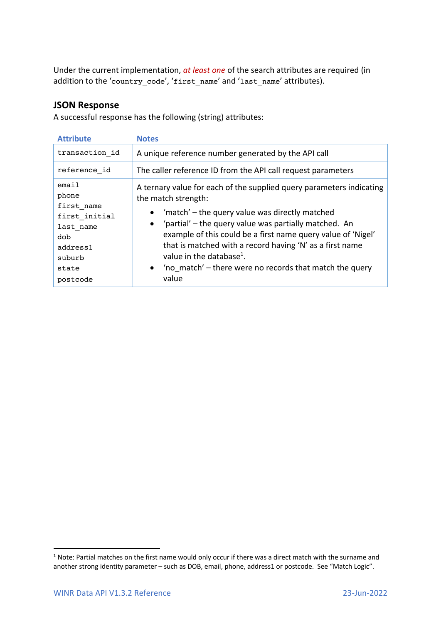Under the current implementation, *at least one* of the search attributes are required (in addition to the 'country\_code', 'first\_name' and 'last\_name' attributes).

#### **JSON Response**

A successful response has the following (string) attributes:

| <b>Attribute</b>                        | <b>Notes</b>                                                                                                                                                                                      |
|-----------------------------------------|---------------------------------------------------------------------------------------------------------------------------------------------------------------------------------------------------|
| transaction id                          | A unique reference number generated by the API call                                                                                                                                               |
| reference id                            | The caller reference ID from the API call request parameters                                                                                                                                      |
| email<br>phone<br>first name            | A ternary value for each of the supplied query parameters indicating<br>the match strength:                                                                                                       |
| first initial<br>last name<br>dob       | 'match' – the query value was directly matched<br>$\bullet$<br>'partial' - the query value was partially matched. An<br>$\bullet$<br>example of this could be a first name query value of 'Nigel' |
| address1<br>suburb<br>state<br>postcode | that is matched with a record having 'N' as a first name<br>value in the database <sup>1</sup> .<br>'no match' – there were no records that match the query<br>$\bullet$<br>value                 |
|                                         |                                                                                                                                                                                                   |

 $1$  Note: Partial matches on the first name would only occur if there was a direct match with the surname and another strong identity parameter – such as DOB, email, phone, address1 or postcode. See "Match Logic".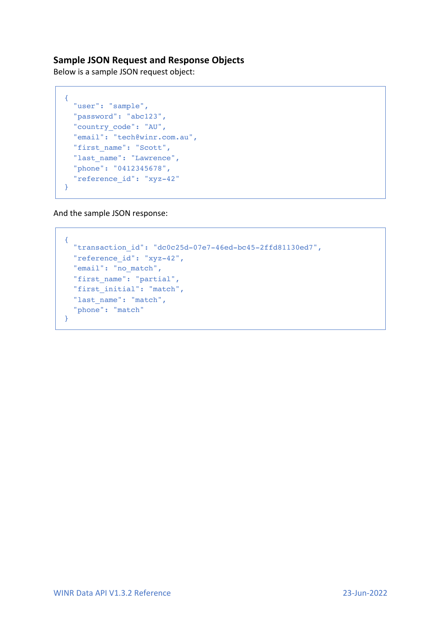#### **Sample JSON Request and Response Objects**

Below is a sample JSON request object:

```
{
  "user": "sample",
  "password": "abc123",
  "country_code": "AU",
   "email": "tech@winr.com.au",
   "first_name": "Scott",
  "last name": "Lawrence",
   "phone": "0412345678", 
   "reference_id": "xyz-42" 
}
```
And the sample JSON response:

```
{
   "transaction_id": "dc0c25d-07e7-46ed-bc45-2ffd81130ed7", 
  "reference_id": "xyz-42",
  "email": "no_match",
  "first name": "partial",
   "first_initial": "match",
   "last_name": "match",
   "phone": "match" 
}
```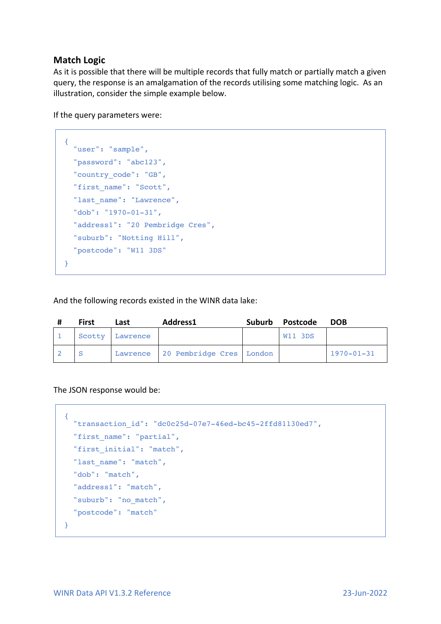#### **Match Logic**

As it is possible that there will be multiple records that fully match or partially match a given query, the response is an amalgamation of the records utilising some matching logic. As an illustration, consider the simple example below.

If the query parameters were:

```
{
   "user": "sample",
   "password": "abc123",
   "country_code": "GB",
   "first_name": "Scott",
   "last_name": "Lawrence",
   "dob": "1970-01-31", 
   "address1": "20 Pembridge Cres", 
   "suburb": "Notting Hill", 
   "postcode": "W11 3DS" 
}
```
And the following records existed in the WINR data lake:

| <b>First</b> | Last            | Address1                          | Suburb Postcode | <b>DOB</b>       |
|--------------|-----------------|-----------------------------------|-----------------|------------------|
|              | Scotty Lawrence |                                   | W11 3DS         |                  |
|              |                 | Lawrence 20 Pembridge Cres London |                 | $1970 - 01 - 31$ |

The JSON response would be:

```
{
   "transaction_id": "dc0c25d-07e7-46ed-bc45-2ffd81130ed7", 
  "first name": "partial",
   "first_initial": "match",
  "last name": "match",
   "dob": "match", 
   "address1": "match", 
   "suburb": "no_match", 
   "postcode": "match" 
}
```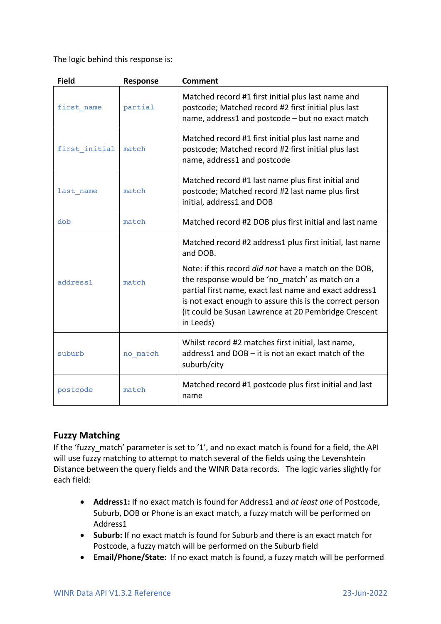The logic behind this response is:

| <b>Field</b>  | Response | <b>Comment</b>                                                                                                                                                                                                                                                                                                                                                                    |
|---------------|----------|-----------------------------------------------------------------------------------------------------------------------------------------------------------------------------------------------------------------------------------------------------------------------------------------------------------------------------------------------------------------------------------|
| first name    | partial  | Matched record #1 first initial plus last name and<br>postcode; Matched record #2 first initial plus last<br>name, address1 and postcode - but no exact match                                                                                                                                                                                                                     |
| first initial | match    | Matched record #1 first initial plus last name and<br>postcode; Matched record #2 first initial plus last<br>name, address1 and postcode                                                                                                                                                                                                                                          |
| last name     | match    | Matched record #1 last name plus first initial and<br>postcode; Matched record #2 last name plus first<br>initial, address1 and DOB                                                                                                                                                                                                                                               |
| dob           | match    | Matched record #2 DOB plus first initial and last name                                                                                                                                                                                                                                                                                                                            |
| address1      | match    | Matched record #2 address1 plus first initial, last name<br>and DOB.<br>Note: if this record <i>did not</i> have a match on the DOB,<br>the response would be 'no match' as match on a<br>partial first name, exact last name and exact address1<br>is not exact enough to assure this is the correct person<br>(it could be Susan Lawrence at 20 Pembridge Crescent<br>in Leeds) |
| suburb        | no match | Whilst record #2 matches first initial, last name,<br>address1 and DOB - it is not an exact match of the<br>suburb/city                                                                                                                                                                                                                                                           |
| postcode      | match    | Matched record #1 postcode plus first initial and last<br>name                                                                                                                                                                                                                                                                                                                    |

#### **Fuzzy Matching**

If the 'fuzzy\_match' parameter is set to '1', and no exact match is found for a field, the API will use fuzzy matching to attempt to match several of the fields using the Levenshtein Distance between the query fields and the WINR Data records. The logic varies slightly for each field:

- **Address1:** If no exact match is found for Address1 and *at least one* of Postcode, Suburb, DOB or Phone is an exact match, a fuzzy match will be performed on Address1
- **Suburb:** If no exact match is found for Suburb and there is an exact match for Postcode, a fuzzy match will be performed on the Suburb field
- **Email/Phone/State:** If no exact match is found, a fuzzy match will be performed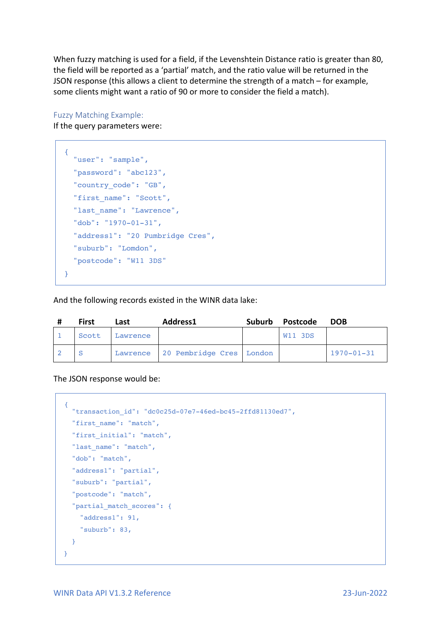When fuzzy matching is used for a field, if the Levenshtein Distance ratio is greater than 80, the field will be reported as a 'partial' match, and the ratio value will be returned in the JSON response (this allows a client to determine the strength of a match – for example, some clients might want a ratio of 90 or more to consider the field a match).

Fuzzy Matching Example: If the query parameters were:

```
{
  "user": "sample",
   "password": "abc123",
   "country_code": "GB",
   "first_name": "Scott",
  "last name": "Lawrence",
   "dob": "1970-01-31", 
   "address1": "20 Pumbridge Cres", 
   "suburb": "Lomdon", 
   "postcode": "W11 3DS" 
}
```
And the following records existed in the WINR data lake:

| <b>First</b> | Last     | Address1                          | Suburb Postcode | <b>DOB</b>       |
|--------------|----------|-----------------------------------|-----------------|------------------|
| Scott        | Lawrence |                                   | <b>W11 3DS</b>  |                  |
|              |          | Lawrence 20 Pembridge Cres London |                 | $1970 - 01 - 31$ |

The JSON response would be:

```
{
   "transaction_id": "dc0c25d-07e7-46ed-bc45-2ffd81130ed7", 
  "first_name": "match",
  "first_initial": "match",
 "last name": "match",
   "dob": "match", 
   "address1": "partial", 
  "suburb": "partial", 
   "postcode": "match",
   "partial_match_scores": {
     "address1": 91, 
     "suburb": 83, 
  }
}
```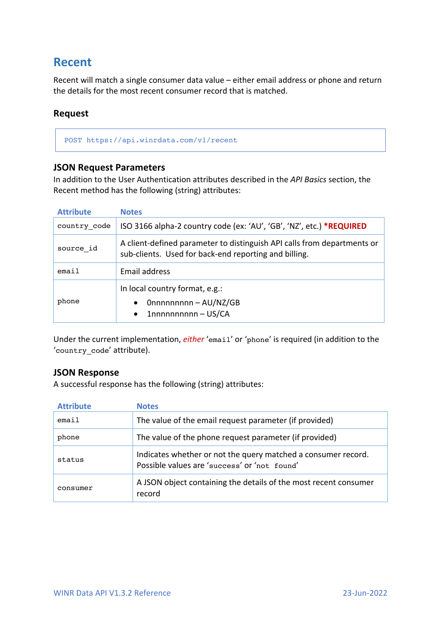### **Recent**

Recent will match a single consumer data value – either email address or phone and return the details for the most recent consumer record that is matched.

#### **Request**

POST https://api.winrdata.com/v1/recent

#### **JSON Request Parameters**

In addition to the User Authentication attributes described in the *API Basics* section, the Recent method has the following (string) attributes:

| <b>Attribute</b> | <b>Notes</b>                                                                                                                     |  |
|------------------|----------------------------------------------------------------------------------------------------------------------------------|--|
| country code     | ISO 3166 alpha-2 country code (ex: 'AU', 'GB', 'NZ', etc.) *REQUIRED                                                             |  |
| source id        | A client-defined parameter to distinguish API calls from departments or<br>sub-clients. Used for back-end reporting and billing. |  |
| email            | Email address                                                                                                                    |  |
| phone            | In local country format, e.g.:<br>$Onnnnnnn - AU/NZ/GB$<br>$\bullet$<br>$1$ nnnnnnnnnn - US/CA<br>$\bullet$                      |  |

Under the current implementation, *either* 'email' or 'phone' is required (in addition to the 'country\_code' attribute).

#### **JSON Response**

A successful response has the following (string) attributes:

| <b>Attribute</b> | <b>Notes</b>                                                                                                  |
|------------------|---------------------------------------------------------------------------------------------------------------|
| email            | The value of the email request parameter (if provided)                                                        |
| phone            | The value of the phone request parameter (if provided)                                                        |
| status           | Indicates whether or not the query matched a consumer record.<br>Possible values are 'success' or 'not found' |
| consumer         | A JSON object containing the details of the most recent consumer<br>record                                    |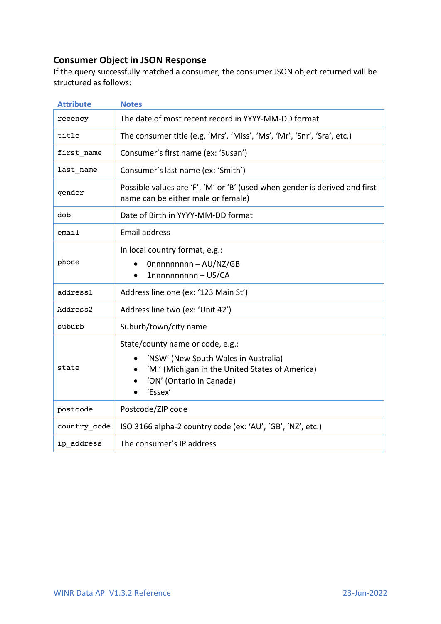#### **Consumer Object in JSON Response**

If the query successfully matched a consumer, the consumer JSON object returned will be structured as follows:

| <b>Attribute</b> | <b>Notes</b>                                                                                                                                                       |  |
|------------------|--------------------------------------------------------------------------------------------------------------------------------------------------------------------|--|
| recency          | The date of most recent record in YYYY-MM-DD format                                                                                                                |  |
| title            | The consumer title (e.g. 'Mrs', 'Miss', 'Ms', 'Mr', 'Snr', 'Sra', etc.)                                                                                            |  |
| first name       | Consumer's first name (ex: 'Susan')                                                                                                                                |  |
| last name        | Consumer's last name (ex: 'Smith')                                                                                                                                 |  |
| gender           | Possible values are 'F', 'M' or 'B' (used when gender is derived and first<br>name can be either male or female)                                                   |  |
| dob              | Date of Birth in YYYY-MM-DD format                                                                                                                                 |  |
| email            | <b>Email address</b>                                                                                                                                               |  |
| phone            | In local country format, e.g.:<br>Onnnnnnnnn - AU/NZ/GB<br>1nnnnnnnnnn - US/CA<br>$\bullet$                                                                        |  |
| address1         | Address line one (ex: '123 Main St')                                                                                                                               |  |
| Address2         | Address line two (ex: 'Unit 42')                                                                                                                                   |  |
| suburb           | Suburb/town/city name                                                                                                                                              |  |
| state            | State/county name or code, e.g.:<br>'NSW' (New South Wales in Australia)<br>'MI' (Michigan in the United States of America)<br>'ON' (Ontario in Canada)<br>'Essex' |  |
| postcode         | Postcode/ZIP code                                                                                                                                                  |  |
| country code     | ISO 3166 alpha-2 country code (ex: 'AU', 'GB', 'NZ', etc.)                                                                                                         |  |
| ip_address       | The consumer's IP address                                                                                                                                          |  |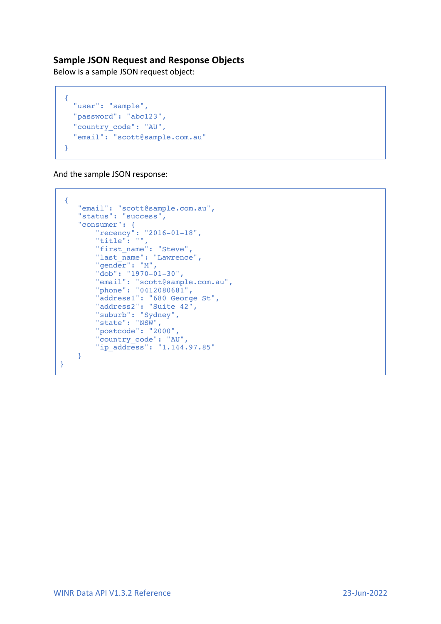#### **Sample JSON Request and Response Objects**

Below is a sample JSON request object:

```
{
   "user": "sample",
   "password": "abc123",
   "country_code": "AU",
   "email": "scott@sample.com.au" 
}
```
And the sample JSON response:

```
{
 "email": "scott@sample.com.au",
 "status": "success",
 "consumer": {
 "recency": "2016-01-18",
 "title": "",
 "first_name": "Steve",
 "last_name": "Lawrence",
       "gender": "M",
 "dob": "1970-01-30",
 "email": "scott@sample.com.au",
 "phone": "0412080681",
 "address1": "680 George St",
 "address2": "Suite 42",
       "suburb": "Sydney",
       "state": "NSW",
       "postcode": "2000",
       "country_code": "AU",
       "ip_address": "1.144.97.85"
    }
}
```